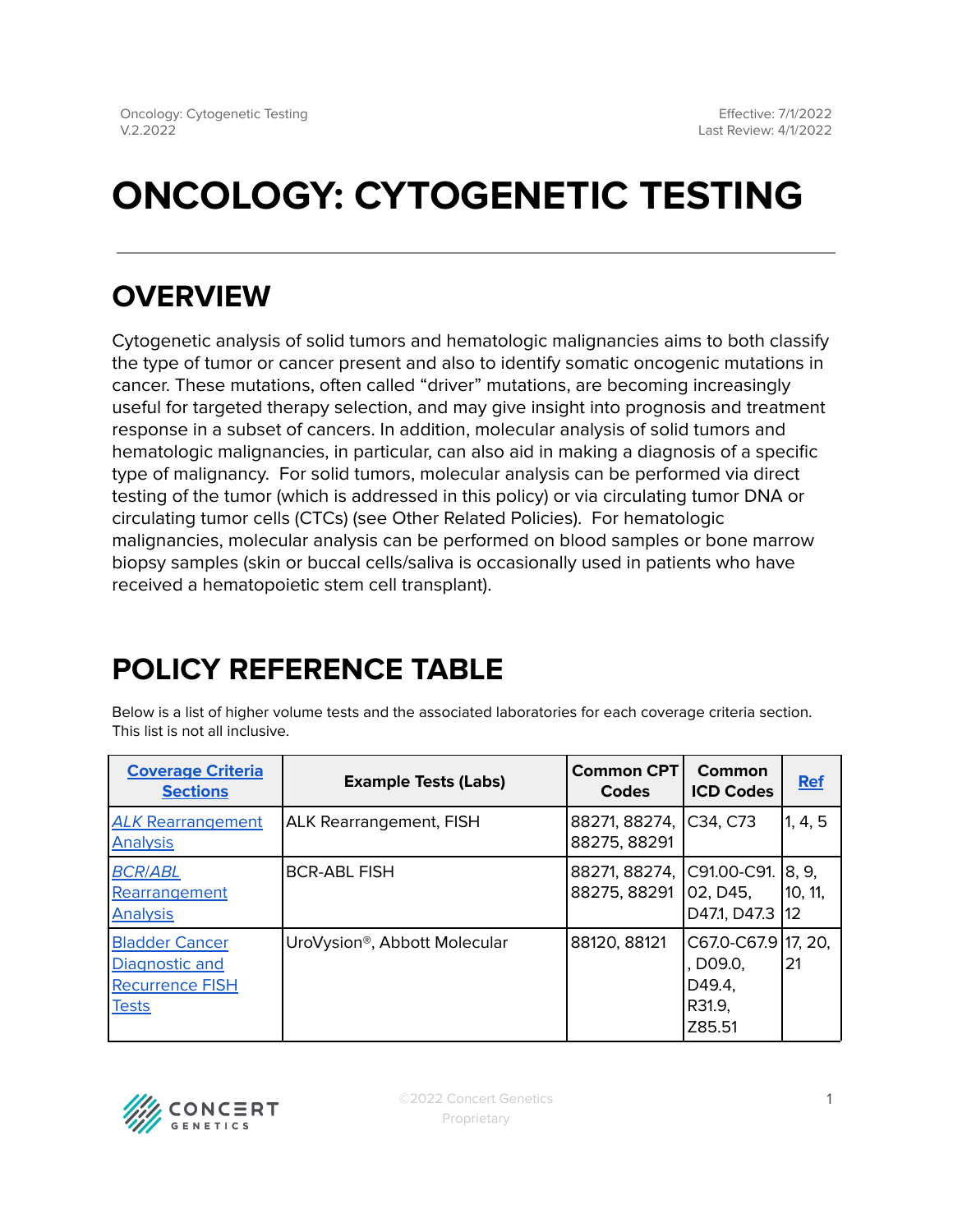# **ONCOLOGY: CYTOGENETIC TESTING**

# **OVERVIEW**

Cytogenetic analysis of solid tumors and hematologic malignancies aims to both classify the type of tumor or cancer present and also to identify somatic oncogenic mutations in cancer. These mutations, often called "driver" mutations, are becoming increasingly useful for targeted therapy selection, and may give insight into prognosis and treatment response in a subset of cancers. In addition, molecular analysis of solid tumors and hematologic malignancies, in particular, can also aid in making a diagnosis of a specific type of malignancy. For solid tumors, molecular analysis can be performed via direct testing of the tumor (which is addressed in this policy) or via circulating tumor DNA or circulating tumor cells (CTCs) (see Other Related Policies). For hematologic malignancies, molecular analysis can be performed on blood samples or bone marrow biopsy samples (skin or buccal cells/saliva is occasionally used in patients who have received a hematopoietic stem cell transplant).

# <span id="page-0-0"></span>**POLICY REFERENCE TABLE**

Below is a list of higher volume tests and the associated laboratories for each coverage criteria section. This list is not all inclusive.

| <b>Coverage Criteria</b><br><b>Sections</b>                                       | <b>Example Tests (Labs)</b>               | <b>Common CPT</b><br>Codes    | Common<br><b>ICD Codes</b>                                    | <b>Ref</b>              |
|-----------------------------------------------------------------------------------|-------------------------------------------|-------------------------------|---------------------------------------------------------------|-------------------------|
| <b>ALK Rearrangement</b><br><b>Analysis</b>                                       | <b>ALK Rearrangement, FISH</b>            | 88271, 88274,<br>88275, 88291 | C34, C73                                                      | 1, 4, 5                 |
| <b>BCR/ABL</b><br>Rearrangement<br><b>Analysis</b>                                | <b>BCR-ABL FISH</b>                       | 88271, 88274,<br>88275, 88291 | C91.00-C91.<br>02.D45.<br>D47.1, D47.3                        | 18.9.<br>10, 11,<br>112 |
| <b>Bladder Cancer</b><br>Diagnostic and<br><b>Recurrence FISH</b><br><b>Tests</b> | UroVysion <sup>®</sup> , Abbott Molecular | 88120, 88121                  | C67.0-C67.9 17, 20,<br>, D09.0,<br>D49.4,<br>R31.9,<br>Z85.51 | 21                      |

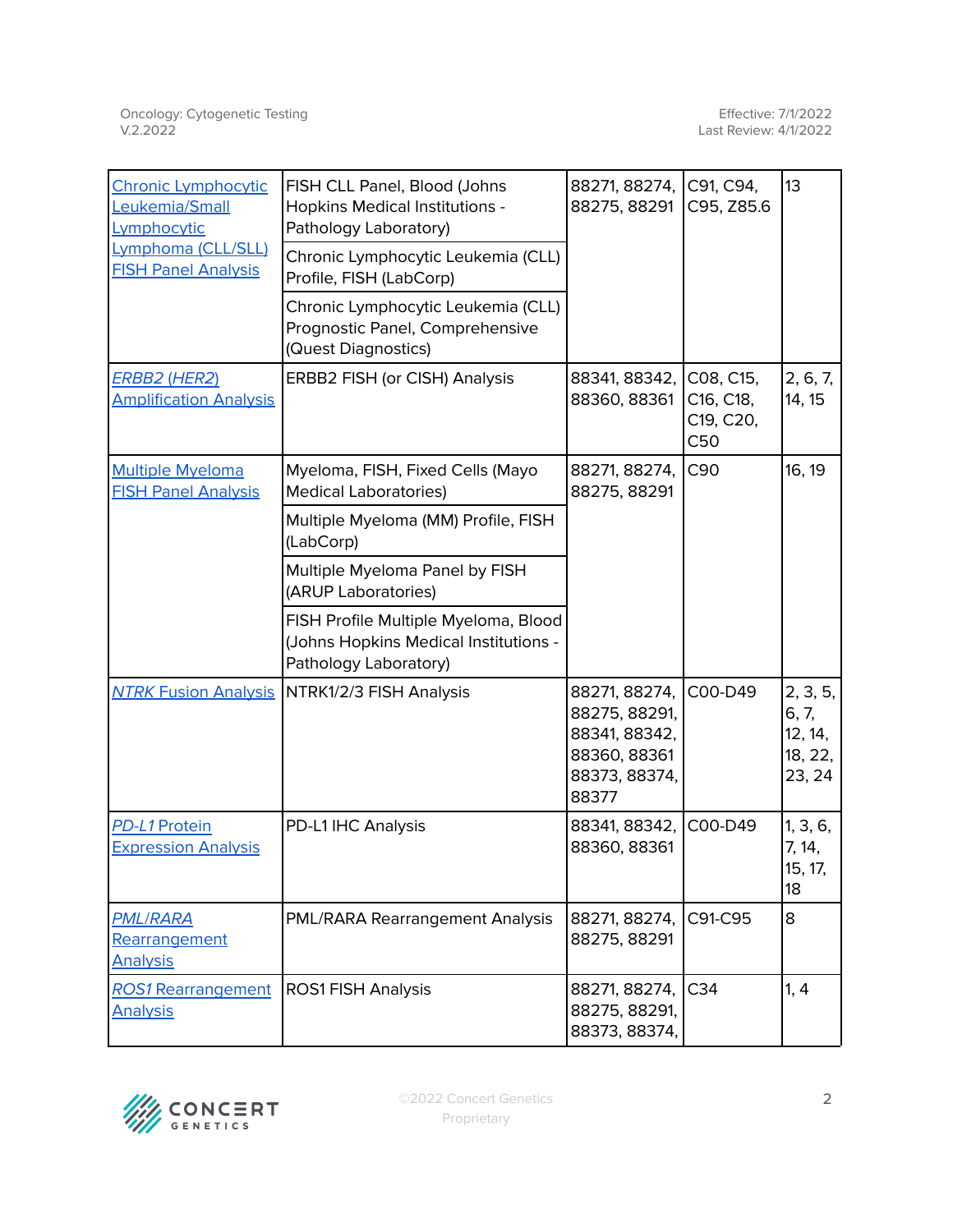| <b>Chronic Lymphocytic</b><br>Leukemia/Small<br>Lymphocytic | FISH CLL Panel, Blood (Johns<br>Hopkins Medical Institutions -<br>Pathology Laboratory)                | 88271, 88274,<br>88275, 88291                                                             | C91, C94,<br>C95, Z85.6                    | 13                                                |
|-------------------------------------------------------------|--------------------------------------------------------------------------------------------------------|-------------------------------------------------------------------------------------------|--------------------------------------------|---------------------------------------------------|
| Lymphoma (CLL/SLL)<br><b>FISH Panel Analysis</b>            | Chronic Lymphocytic Leukemia (CLL)<br>Profile, FISH (LabCorp)                                          |                                                                                           |                                            |                                                   |
|                                                             | Chronic Lymphocytic Leukemia (CLL)<br>Prognostic Panel, Comprehensive<br>(Quest Diagnostics)           |                                                                                           |                                            |                                                   |
| <b>ERBB2 (HER2)</b><br><b>Amplification Analysis</b>        | ERBB2 FISH (or CISH) Analysis                                                                          | 88341, 88342,<br>88360, 88361                                                             | C08, C15,<br>C16, C18,<br>C19, C20,<br>C50 | 2, 6, 7,<br>14, 15                                |
| <b>Multiple Myeloma</b><br><b>FISH Panel Analysis</b>       | Myeloma, FISH, Fixed Cells (Mayo<br><b>Medical Laboratories)</b>                                       | 88271, 88274,<br>88275, 88291                                                             | C90                                        | 16, 19                                            |
|                                                             | Multiple Myeloma (MM) Profile, FISH<br>(LabCorp)                                                       |                                                                                           |                                            |                                                   |
|                                                             | Multiple Myeloma Panel by FISH<br>(ARUP Laboratories)                                                  |                                                                                           |                                            |                                                   |
|                                                             | FISH Profile Multiple Myeloma, Blood<br>(Johns Hopkins Medical Institutions -<br>Pathology Laboratory) |                                                                                           |                                            |                                                   |
|                                                             | <b>NTRK Fusion Analysis   NTRK1/2/3 FISH Analysis</b>                                                  | 88271, 88274,<br>88275, 88291,<br>88341, 88342,<br>88360, 88361<br>88373, 88374,<br>88377 | C00-D49                                    | 2, 3, 5,<br>6, 7,<br>12, 14,<br>18, 22,<br>23, 24 |
| PD-L1 Protein<br><b>Expression Analysis</b>                 | PD-L1 IHC Analysis                                                                                     | 88341, 88342,<br>88360, 88361                                                             | C00-D49                                    | 1, 3, 6,<br>7, 14,<br>15, 17,<br>18               |
| <b>PML/RARA</b><br>Rearrangement<br><b>Analysis</b>         | PML/RARA Rearrangement Analysis                                                                        | 88271, 88274,<br>88275, 88291                                                             | C91-C95                                    | 8                                                 |
| <b>ROS1 Rearrangement</b><br><b>Analysis</b>                | <b>ROS1 FISH Analysis</b>                                                                              | 88271, 88274, C34<br>88275, 88291,<br>88373, 88374,                                       |                                            | 1, 4                                              |

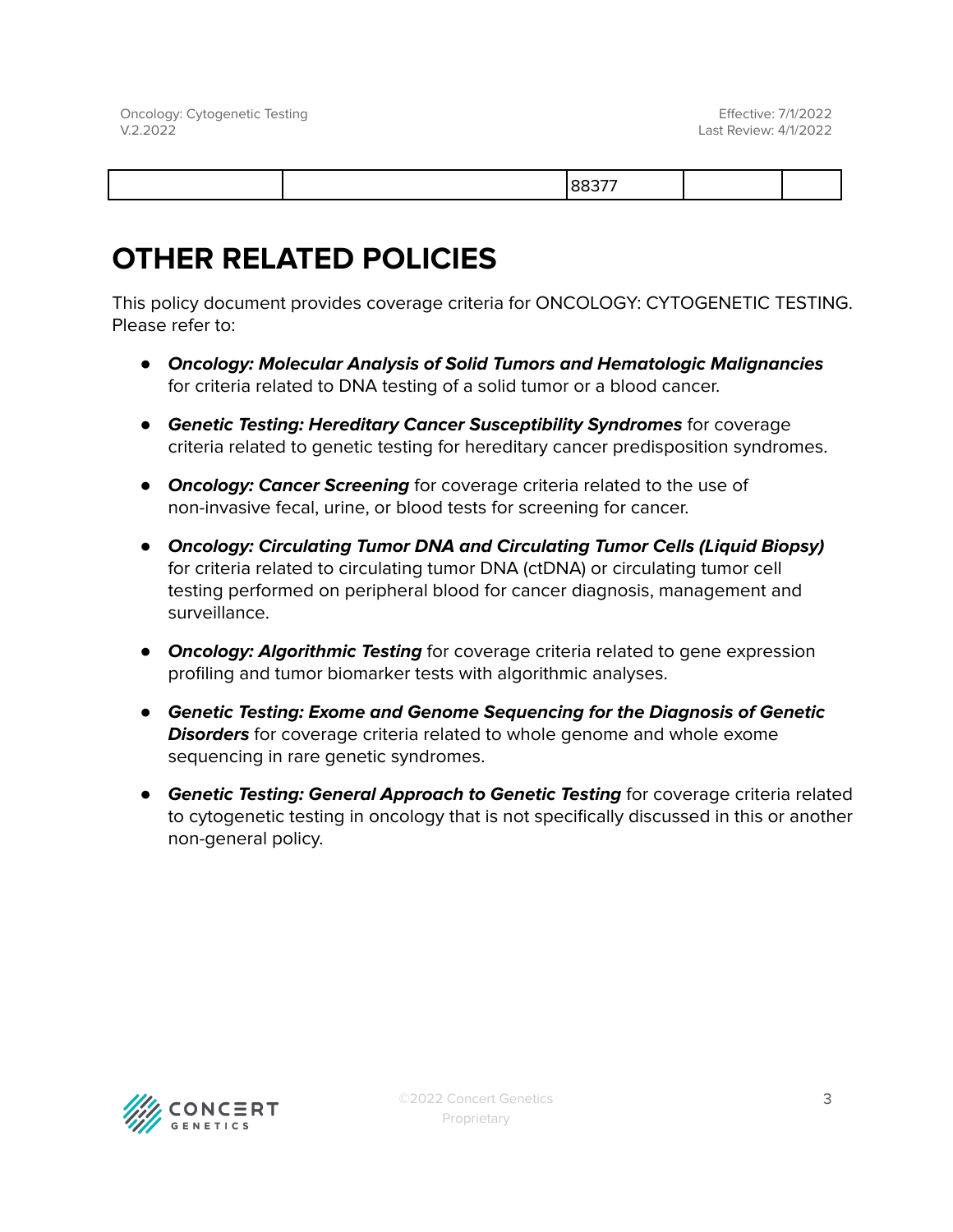|--|

# **OTHER RELATED POLICIES**

This policy document provides coverage criteria for ONCOLOGY: CYTOGENETIC TESTING. Please refer to:

- **Oncology: Molecular Analysis of Solid Tumors and Hematologic Malignancies** for criteria related to DNA testing of a solid tumor or a blood cancer.
- **Genetic Testing: Hereditary Cancer Susceptibility Syndromes** for coverage criteria related to genetic testing for hereditary cancer predisposition syndromes.
- **Oncology: Cancer Screening** for coverage criteria related to the use of non-invasive fecal, urine, or blood tests for screening for cancer.
- **Oncology: Circulating Tumor DNA and Circulating Tumor Cells (Liquid Biopsy)** for criteria related to circulating tumor DNA (ctDNA) or circulating tumor cell testing performed on peripheral blood for cancer diagnosis, management and surveillance.
- **Oncology: Algorithmic Testing** for coverage criteria related to gene expression profiling and tumor biomarker tests with algorithmic analyses.
- **Genetic Testing: Exome and Genome Sequencing for the Diagnosis of Genetic Disorders** for coverage criteria related to whole genome and whole exome sequencing in rare genetic syndromes.
- **Genetic Testing: General Approach to Genetic Testing** for coverage criteria related to cytogenetic testing in oncology that is not specifically discussed in this or another non-general policy.

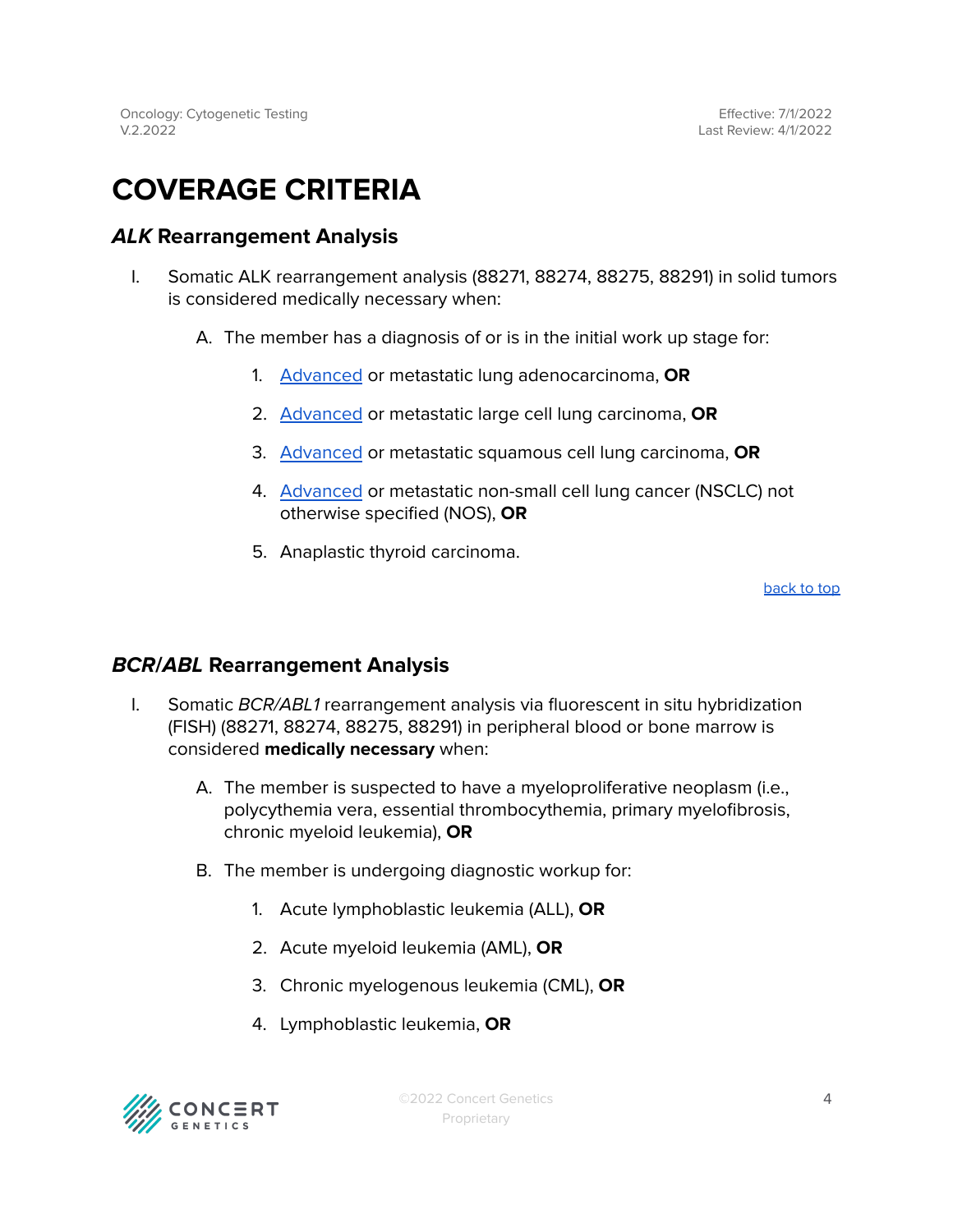# <span id="page-3-0"></span>**COVERAGE CRITERIA**

# <span id="page-3-1"></span>**ALK Rearrangement Analysis**

- I. Somatic ALK rearrangement analysis (88271, 88274, 88275, 88291) in solid tumors is considered medically necessary when:
	- A. The member has a diagnosis of or is in the initial work up stage for:
		- 1. [Advanced](#page-8-0) or metastatic lung adenocarcinoma, **OR**
		- 2. [Advanced](#page-8-0) or metastatic large cell lung carcinoma, **OR**
		- 3. [Advanced](#page-8-0) or metastatic squamous cell lung carcinoma, **OR**
		- 4. [Advanced](#page-8-0) or metastatic non-small cell lung cancer (NSCLC) not otherwise specified (NOS), **OR**
		- 5. Anaplastic thyroid carcinoma.

[back](#page-0-0) to top

# <span id="page-3-2"></span>**BCR/ABL Rearrangement Analysis**

- I. Somatic BCR/ABL1 rearrangement analysis via fluorescent in situ hybridization (FISH) (88271, 88274, 88275, 88291) in peripheral blood or bone marrow is considered **medically necessary** when:
	- A. The member is suspected to have a myeloproliferative neoplasm (i.e., polycythemia vera, essential thrombocythemia, primary myelofibrosis, chronic myeloid leukemia), **OR**
	- B. The member is undergoing diagnostic workup for:
		- 1. Acute lymphoblastic leukemia (ALL), **OR**
		- 2. Acute myeloid leukemia (AML), **OR**
		- 3. Chronic myelogenous leukemia (CML), **OR**
		- 4. Lymphoblastic leukemia, **OR**

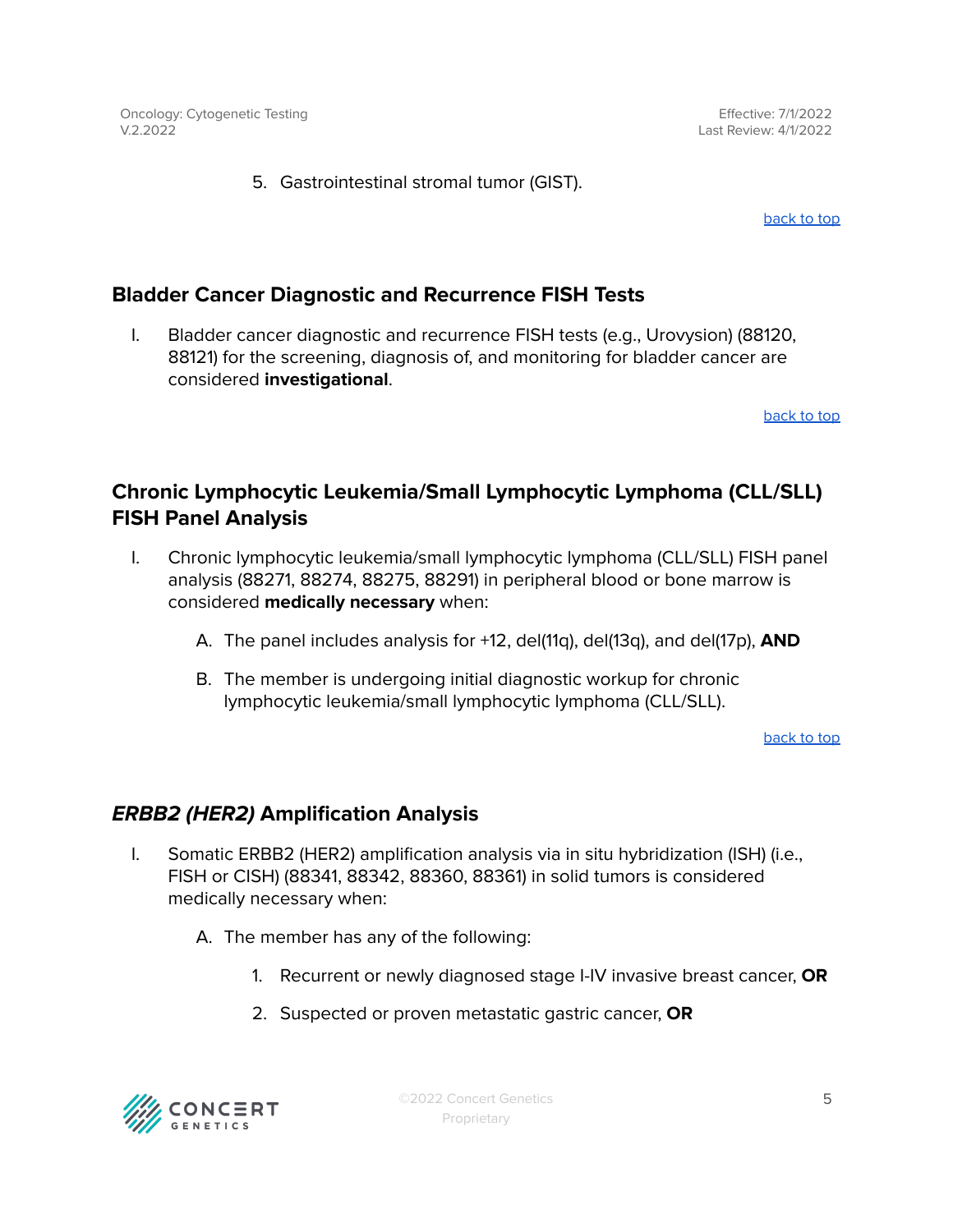Effective: 7/1/2022 Last Review: 4/1/2022

5. Gastrointestinal stromal tumor (GIST).

[back](#page-0-0) to top

# <span id="page-4-0"></span>**Bladder Cancer Diagnostic and Recurrence FISH Tests**

I. Bladder cancer diagnostic and recurrence FISH tests (e.g., Urovysion) (88120, 88121) for the screening, diagnosis of, and monitoring for bladder cancer are considered **investigational**.

[back](#page-0-0) to top

# <span id="page-4-1"></span>**Chronic Lymphocytic Leukemia/Small Lymphocytic Lymphoma (CLL/SLL) FISH Panel Analysis**

- I. Chronic lymphocytic leukemia/small lymphocytic lymphoma (CLL/SLL) FISH panel analysis (88271, 88274, 88275, 88291) in peripheral blood or bone marrow is considered **medically necessary** when:
	- A. The panel includes analysis for +12, del(11q), del(13q), and del(17p), **AND**
	- B. The member is undergoing initial diagnostic workup for chronic lymphocytic leukemia/small lymphocytic lymphoma (CLL/SLL).

[back](#page-0-0) to top

# <span id="page-4-2"></span>**ERBB2 (HER2) Amplification Analysis**

- I. Somatic ERBB2 (HER2) amplification analysis via in situ hybridization (ISH) (i.e., FISH or CISH) (88341, 88342, 88360, 88361) in solid tumors is considered medically necessary when:
	- A. The member has any of the following:
		- 1. Recurrent or newly diagnosed stage I-IV invasive breast cancer, **OR**
		- 2. Suspected or proven metastatic gastric cancer, **OR**



©2022 Concert Genetics Proprietary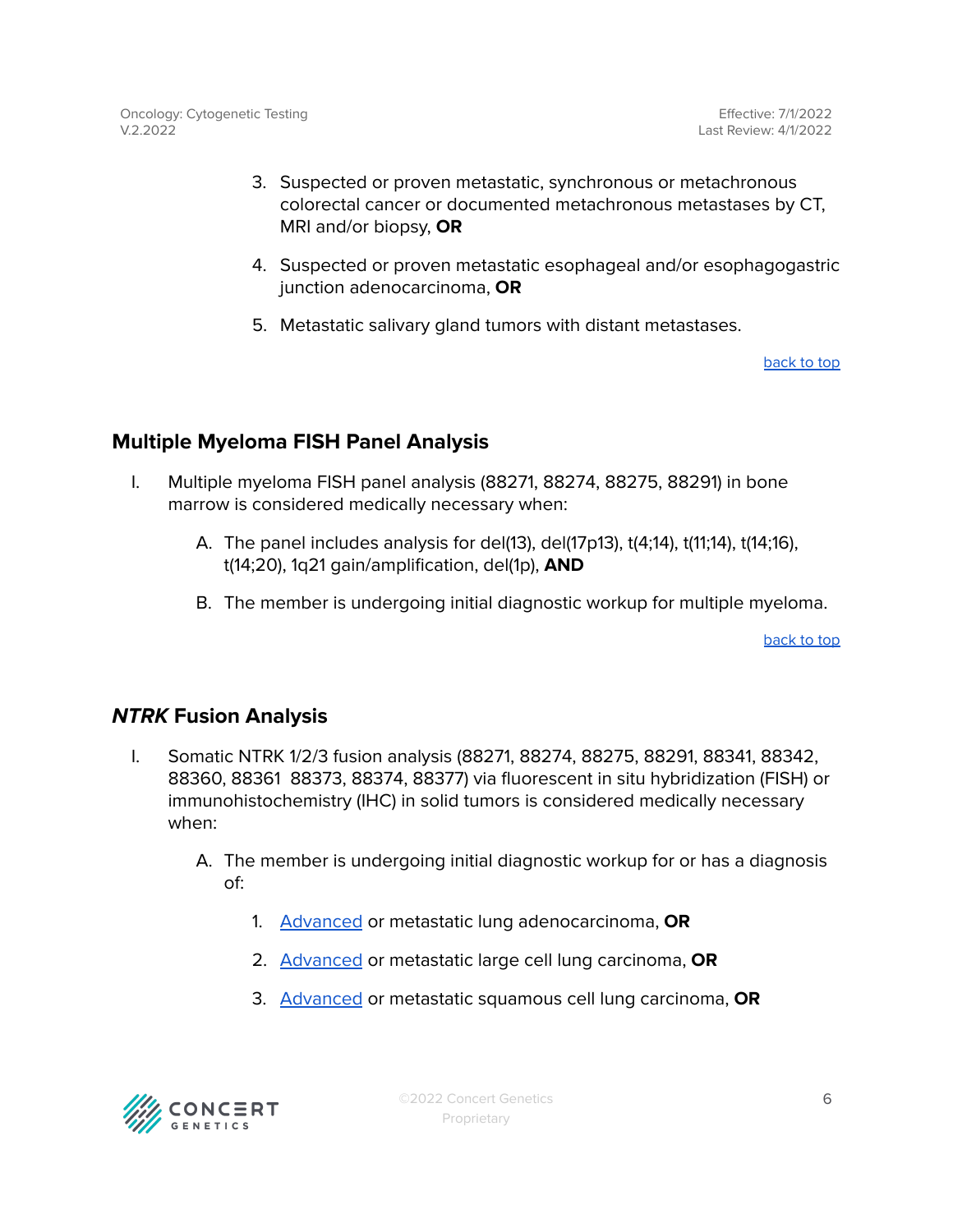- 3. Suspected or proven metastatic, synchronous or metachronous colorectal cancer or documented metachronous metastases by CT, MRI and/or biopsy, **OR**
- 4. Suspected or proven metastatic esophageal and/or esophagogastric junction adenocarcinoma, **OR**
- 5. Metastatic salivary gland tumors with distant metastases.

[back](#page-0-0) to top

# <span id="page-5-0"></span>**Multiple Myeloma FISH Panel Analysis**

- I. Multiple myeloma FISH panel analysis (88271, 88274, 88275, 88291) in bone marrow is considered medically necessary when:
	- A. The panel includes analysis for del(13), del(17p13), t(4;14), t(11;14), t(14;16), t(14;20), 1q21 gain/amplification, del(1p), **AND**
	- B. The member is undergoing initial diagnostic workup for multiple myeloma.

[back](#page-0-0) to top

# <span id="page-5-1"></span>**NTRK Fusion Analysis**

- I. Somatic NTRK 1/2/3 fusion analysis (88271, 88274, 88275, 88291, 88341, 88342, 88360, 88361 88373, 88374, 88377) via fluorescent in situ hybridization (FISH) or immunohistochemistry (IHC) in solid tumors is considered medically necessary when:
	- A. The member is undergoing initial diagnostic workup for or has a diagnosis of:
		- 1. [Advanced](#page-8-0) or metastatic lung adenocarcinoma, **OR**
		- 2. [Advanced](#page-8-0) or metastatic large cell lung carcinoma, **OR**
		- 3. [Advanced](#page-8-0) or metastatic squamous cell lung carcinoma, **OR**

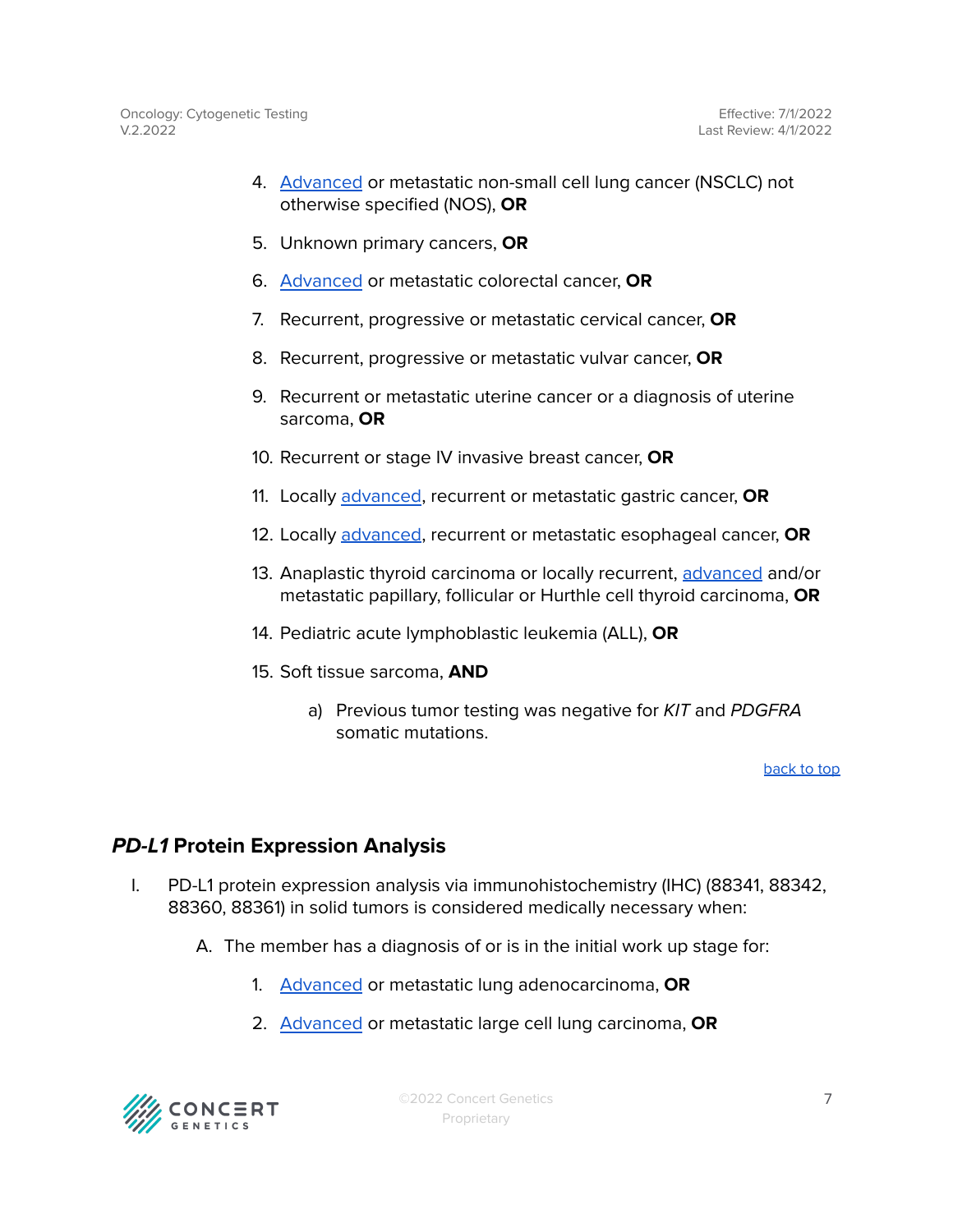- 4. [Advanced](#page-8-0) or metastatic non-small cell lung cancer (NSCLC) not otherwise specified (NOS), **OR**
- 5. Unknown primary cancers, **OR**
- 6. [Advanced](#page-8-0) or metastatic colorectal cancer, **OR**
- 7. Recurrent, progressive or metastatic cervical cancer, **OR**
- 8. Recurrent, progressive or metastatic vulvar cancer, **OR**
- 9. Recurrent or metastatic uterine cancer or a diagnosis of uterine sarcoma, **OR**
- 10. Recurrent or stage IV invasive breast cancer, **OR**
- 11. Locally [advanced](#page-8-0), recurrent or metastatic gastric cancer, **OR**
- 12. Locally [advanced](#page-8-0), recurrent or metastatic esophageal cancer, **OR**
- 13. Anaplastic thyroid carcinoma or locally recurrent, [advanced](#page-8-0) and/or metastatic papillary, follicular or Hurthle cell thyroid carcinoma, **OR**
- 14. Pediatric acute lymphoblastic leukemia (ALL), **OR**
- 15. Soft tissue sarcoma, **AND**
	- a) Previous tumor testing was negative for KIT and PDGFRA somatic mutations.

[back](#page-0-0) to top

# <span id="page-6-0"></span>**PD-L1 Protein Expression Analysis**

- I. PD-L1 protein expression analysis via immunohistochemistry (IHC) (88341, 88342, 88360, 88361) in solid tumors is considered medically necessary when:
	- A. The member has a diagnosis of or is in the initial work up stage for:
		- 1. [Advanced](#page-8-0) or metastatic lung adenocarcinoma, **OR**
		- 2. [Advanced](#page-8-0) or metastatic large cell lung carcinoma, **OR**



©2022 Concert Genetics Proprietary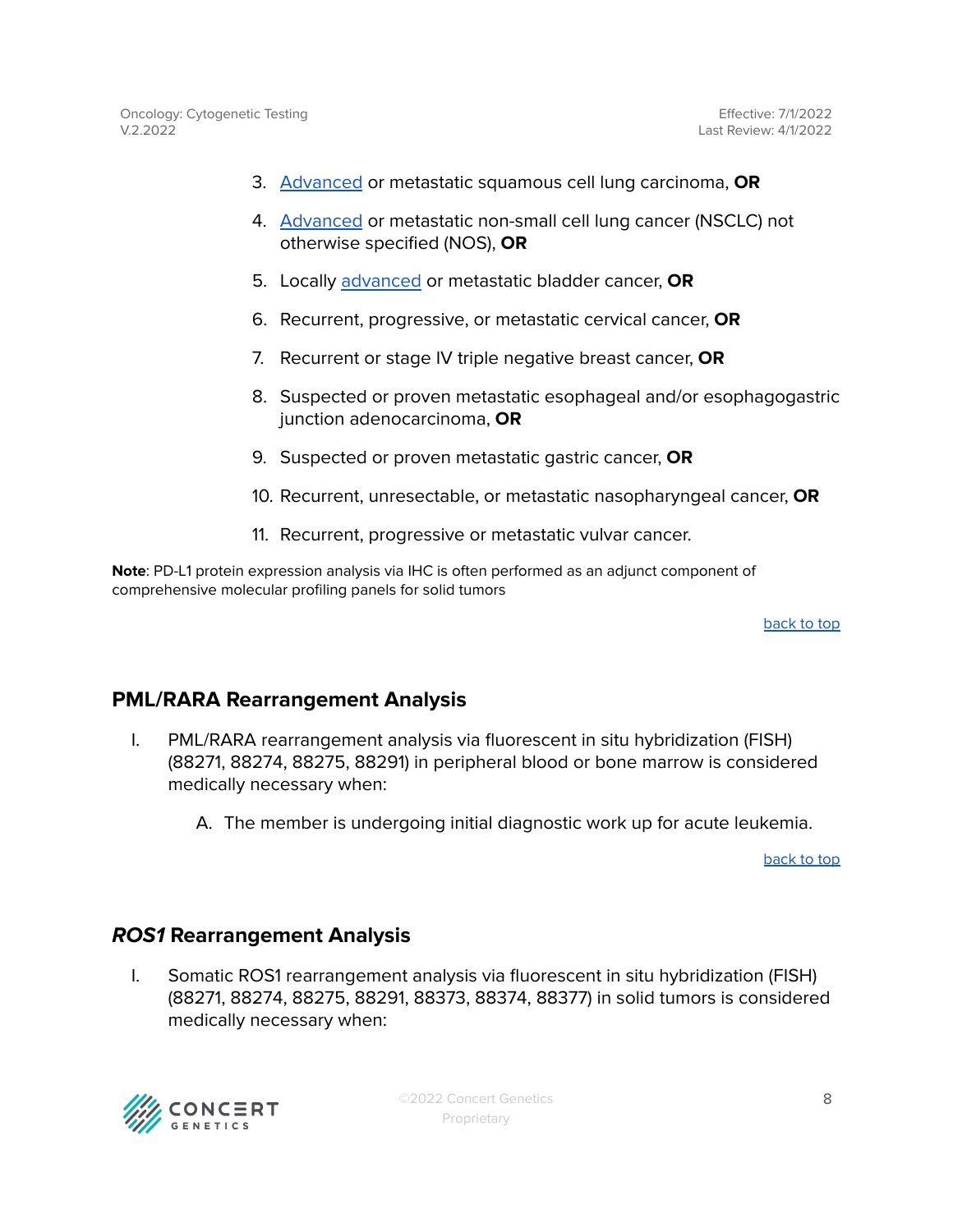- 3. [Advanced](#page-8-0) or metastatic squamous cell lung carcinoma, **OR**
- 4. [Advanced](#page-8-0) or metastatic non-small cell lung cancer (NSCLC) not otherwise specified (NOS), **OR**
- 5. Locally [advanced](#page-8-0) or metastatic bladder cancer, **OR**
- 6. Recurrent, progressive, or metastatic cervical cancer, **OR**
- 7. Recurrent or stage IV triple negative breast cancer, **OR**
- 8. Suspected or proven metastatic esophageal and/or esophagogastric junction adenocarcinoma, **OR**
- 9. Suspected or proven metastatic gastric cancer, **OR**
- 10. Recurrent, unresectable, or metastatic nasopharyngeal cancer, **OR**
- 11. Recurrent, progressive or metastatic vulvar cancer.

**Note**: PD-L1 protein expression analysis via IHC is often performed as an adjunct component of comprehensive molecular profiling panels for solid tumors

[back](#page-0-0) to top

# <span id="page-7-0"></span>**PML/RARA Rearrangement Analysis**

- I. PML/RARA rearrangement analysis via fluorescent in situ hybridization (FISH) (88271, 88274, 88275, 88291) in peripheral blood or bone marrow is considered medically necessary when:
	- A. The member is undergoing initial diagnostic work up for acute leukemia.

[back](#page-0-0) to top

# <span id="page-7-1"></span>**ROS1 Rearrangement Analysis**

I. Somatic ROS1 rearrangement analysis via fluorescent in situ hybridization (FISH) (88271, 88274, 88275, 88291, 88373, 88374, 88377) in solid tumors is considered medically necessary when:

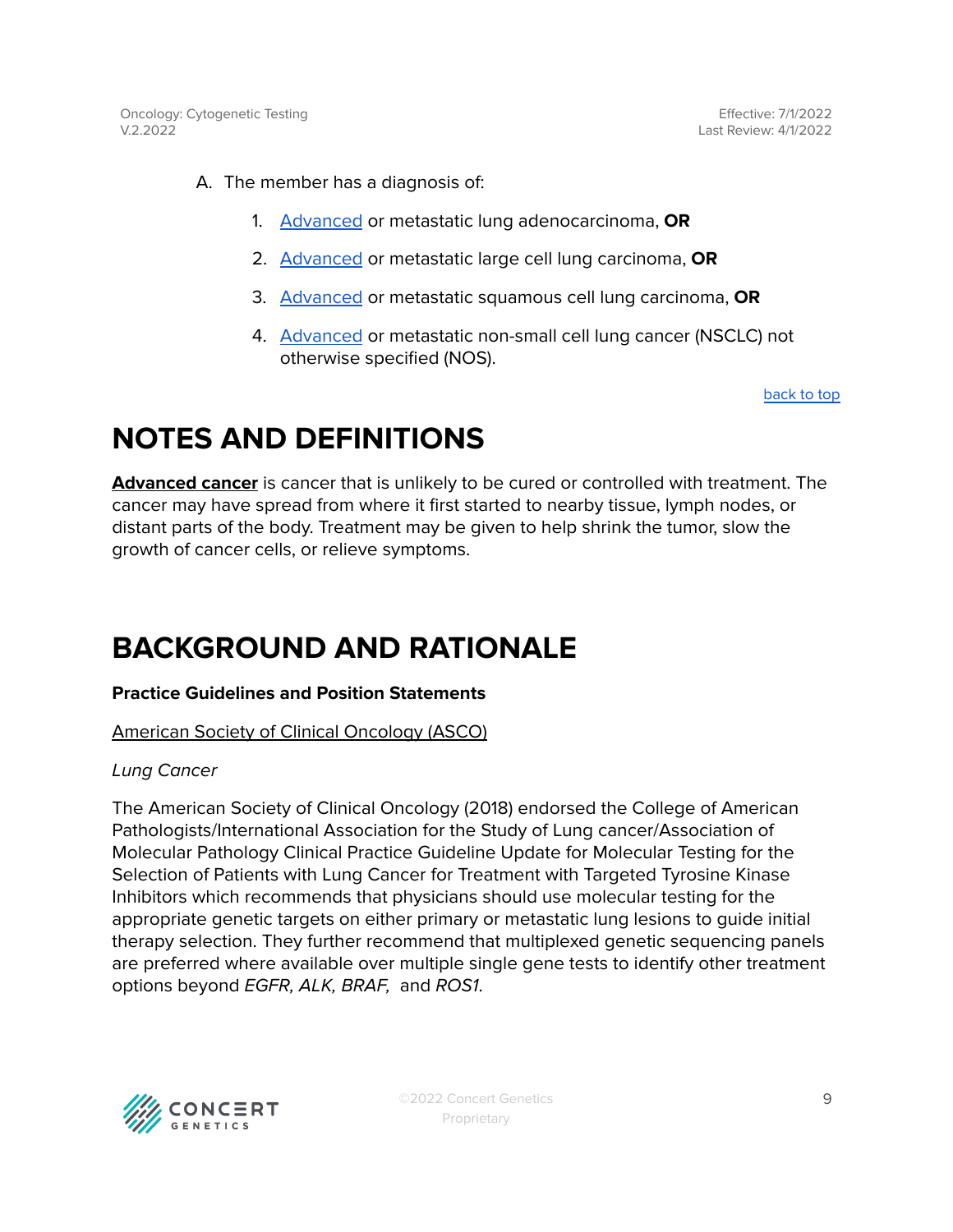Effective: 7/1/2022 Last Review: 4/1/2022

- A. The member has a diagnosis of:
	- 1. [Advanced](#page-8-0) or metastatic lung adenocarcinoma, **OR**
	- 2. [Advanced](#page-8-0) or metastatic large cell lung carcinoma, **OR**
	- 3. [Advanced](#page-8-0) or metastatic squamous cell lung carcinoma, **OR**
	- 4. [Advanced](#page-8-0) or metastatic non-small cell lung cancer (NSCLC) not otherwise specified (NOS).

[back](#page-0-0) to top

# <span id="page-8-0"></span>**NOTES AND DEFINITIONS**

**Advanced cancer** is cancer that is unlikely to be cured or controlled with treatment. The cancer may have spread from where it first started to nearby tissue, lymph nodes, or distant parts of the body. Treatment may be given to help shrink the tumor, slow the growth of cancer cells, or relieve symptoms.

# **BACKGROUND AND RATIONALE**

#### **Practice Guidelines and Position Statements**

#### American Society of Clinical Oncology (ASCO)

#### Lung Cancer

The American Society of Clinical Oncology (2018) endorsed the College of American Pathologists/International Association for the Study of Lung cancer/Association of Molecular Pathology Clinical Practice Guideline Update for Molecular Testing for the Selection of Patients with Lung Cancer for Treatment with Targeted Tyrosine Kinase Inhibitors which recommends that physicians should use molecular testing for the appropriate genetic targets on either primary or metastatic lung lesions to guide initial therapy selection. They further recommend that multiplexed genetic sequencing panels are preferred where available over multiple single gene tests to identify other treatment options beyond EGFR, ALK, BRAF, and ROS1.

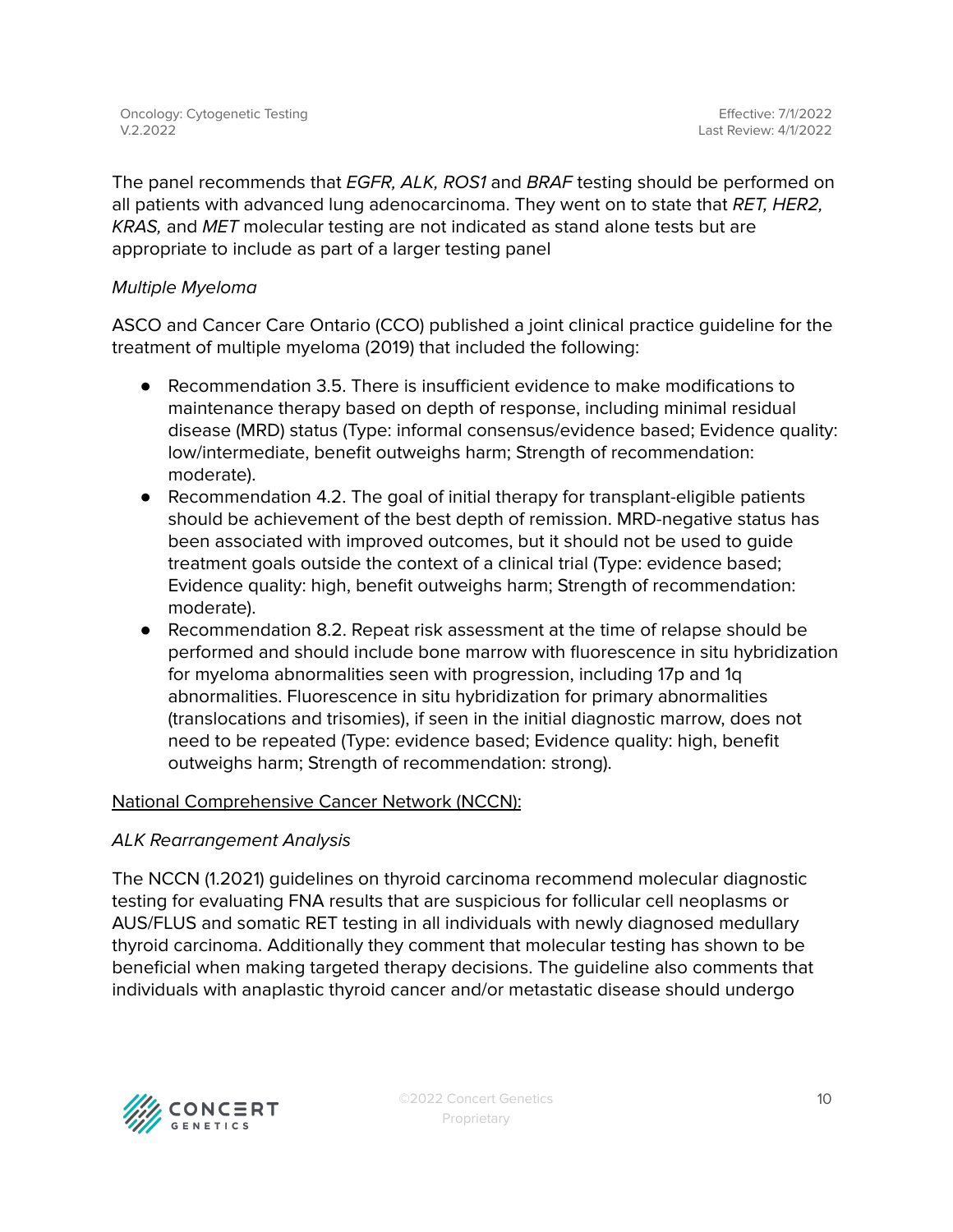The panel recommends that *EGFR, ALK, ROS1* and *BRAF* testing should be performed on all patients with advanced lung adenocarcinoma. They went on to state that RET, HER2, KRAS, and MET molecular testing are not indicated as stand alone tests but are appropriate to include as part of a larger testing panel

### Multiple Myeloma

ASCO and Cancer Care Ontario (CCO) published a joint clinical practice guideline for the treatment of multiple myeloma (2019) that included the following:

- Recommendation 3.5. There is insufficient evidence to make modifications to maintenance therapy based on depth of response, including minimal residual disease (MRD) status (Type: informal consensus/evidence based; Evidence quality: low/intermediate, benefit outweighs harm; Strength of recommendation: moderate).
- Recommendation 4.2. The goal of initial therapy for transplant-eligible patients should be achievement of the best depth of remission. MRD-negative status has been associated with improved outcomes, but it should not be used to guide treatment goals outside the context of a clinical trial (Type: evidence based; Evidence quality: high, benefit outweighs harm; Strength of recommendation: moderate).
- Recommendation 8.2. Repeat risk assessment at the time of relapse should be performed and should include bone marrow with fluorescence in situ hybridization for myeloma abnormalities seen with progression, including 17p and 1q abnormalities. Fluorescence in situ hybridization for primary abnormalities (translocations and trisomies), if seen in the initial diagnostic marrow, does not need to be repeated (Type: evidence based; Evidence quality: high, benefit outweighs harm; Strength of recommendation: strong).

#### National Comprehensive Cancer Network (NCCN):

#### ALK Rearrangement Analysis

The NCCN (1.2021) guidelines on thyroid carcinoma recommend molecular diagnostic testing for evaluating FNA results that are suspicious for follicular cell neoplasms or AUS/FLUS and somatic RET testing in all individuals with newly diagnosed medullary thyroid carcinoma. Additionally they comment that molecular testing has shown to be beneficial when making targeted therapy decisions. The guideline also comments that individuals with anaplastic thyroid cancer and/or metastatic disease should undergo

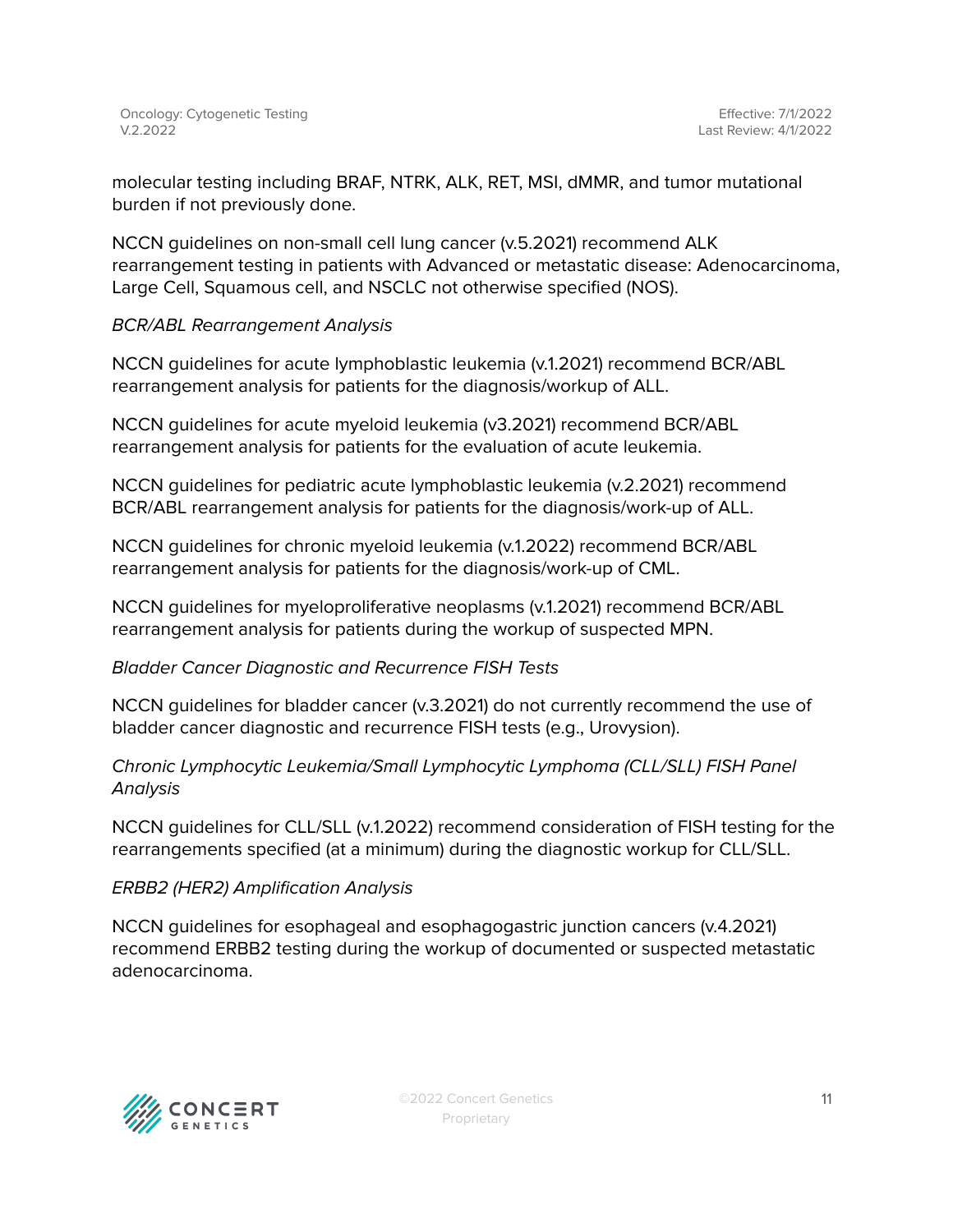molecular testing including BRAF, NTRK, ALK, RET, MSI, dMMR, and tumor mutational burden if not previously done.

NCCN guidelines on non-small cell lung cancer (v.5.2021) recommend ALK rearrangement testing in patients with Advanced or metastatic disease: Adenocarcinoma, Large Cell, Squamous cell, and NSCLC not otherwise specified (NOS).

### BCR/ABL Rearrangement Analysis

NCCN guidelines for acute lymphoblastic leukemia (v.1.2021) recommend BCR/ABL rearrangement analysis for patients for the diagnosis/workup of ALL.

NCCN guidelines for acute myeloid leukemia (v3.2021) recommend BCR/ABL rearrangement analysis for patients for the evaluation of acute leukemia.

NCCN guidelines for pediatric acute lymphoblastic leukemia (v.2.2021) recommend BCR/ABL rearrangement analysis for patients for the diagnosis/work-up of ALL.

NCCN guidelines for chronic myeloid leukemia (v.1.2022) recommend BCR/ABL rearrangement analysis for patients for the diagnosis/work-up of CML.

NCCN guidelines for myeloproliferative neoplasms (v.1.2021) recommend BCR/ABL rearrangement analysis for patients during the workup of suspected MPN.

#### Bladder Cancer Diagnostic and Recurrence FISH Tests

NCCN guidelines for bladder cancer (v.3.2021) do not currently recommend the use of bladder cancer diagnostic and recurrence FISH tests (e.g., Urovysion).

Chronic Lymphocytic Leukemia/Small Lymphocytic Lymphoma (CLL/SLL) FISH Panel **Analysis** 

NCCN guidelines for CLL/SLL (v.1.2022) recommend consideration of FISH testing for the rearrangements specified (at a minimum) during the diagnostic workup for CLL/SLL.

# ERBB2 (HER2) Amplification Analysis

NCCN guidelines for esophageal and esophagogastric junction cancers (v.4.2021) recommend ERBB2 testing during the workup of documented or suspected metastatic adenocarcinoma.

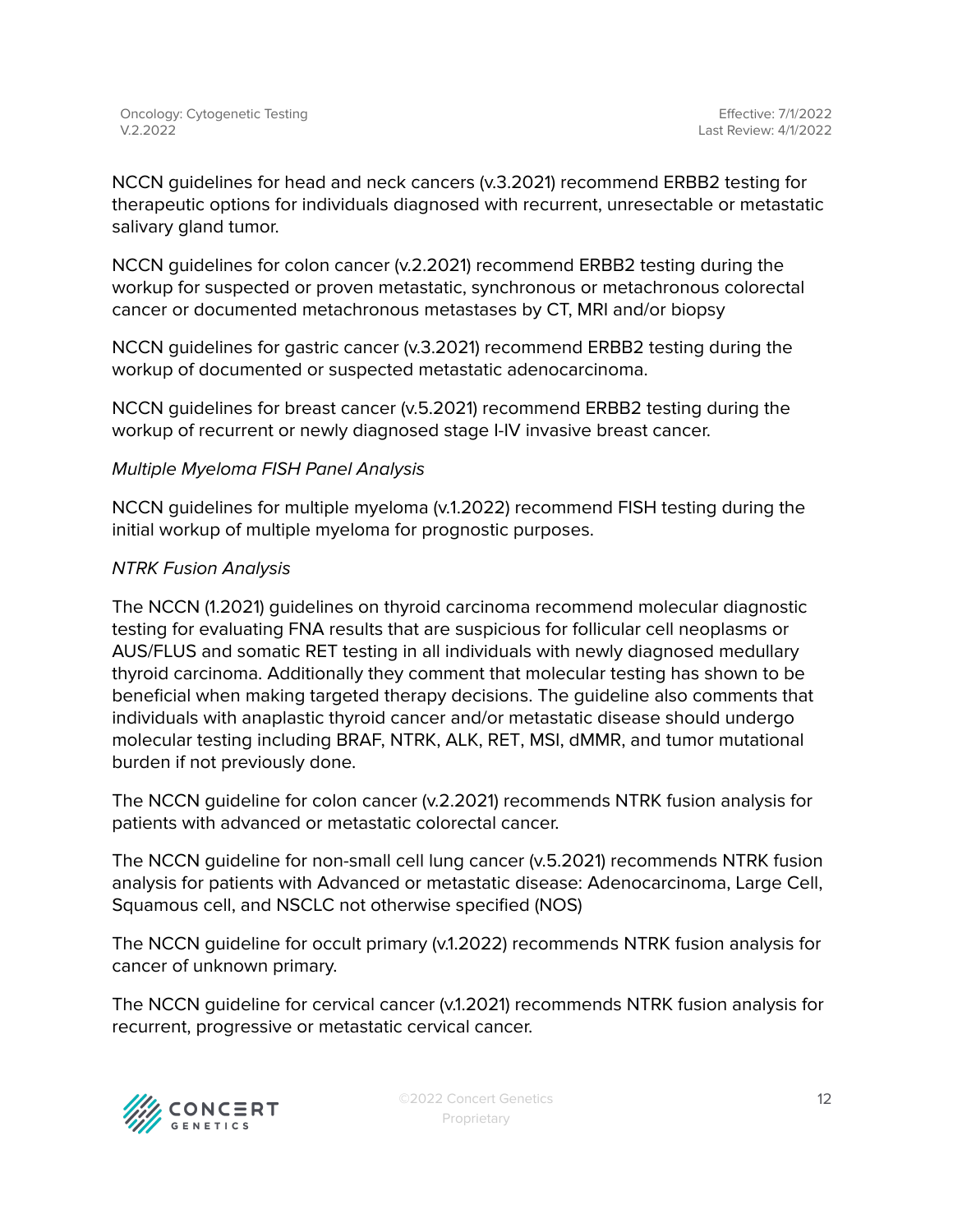NCCN guidelines for head and neck cancers (v.3.2021) recommend ERBB2 testing for therapeutic options for individuals diagnosed with recurrent, unresectable or metastatic salivary gland tumor.

NCCN guidelines for colon cancer (v.2.2021) recommend ERBB2 testing during the workup for suspected or proven metastatic, synchronous or metachronous colorectal cancer or documented metachronous metastases by CT, MRI and/or biopsy

NCCN guidelines for gastric cancer (v.3.2021) recommend ERBB2 testing during the workup of documented or suspected metastatic adenocarcinoma.

NCCN guidelines for breast cancer (v.5.2021) recommend ERBB2 testing during the workup of recurrent or newly diagnosed stage I-IV invasive breast cancer.

#### Multiple Myeloma FISH Panel Analysis

NCCN guidelines for multiple myeloma (v.1.2022) recommend FISH testing during the initial workup of multiple myeloma for prognostic purposes.

#### NTRK Fusion Analysis

The NCCN (1.2021) guidelines on thyroid carcinoma recommend molecular diagnostic testing for evaluating FNA results that are suspicious for follicular cell neoplasms or AUS/FLUS and somatic RET testing in all individuals with newly diagnosed medullary thyroid carcinoma. Additionally they comment that molecular testing has shown to be beneficial when making targeted therapy decisions. The guideline also comments that individuals with anaplastic thyroid cancer and/or metastatic disease should undergo molecular testing including BRAF, NTRK, ALK, RET, MSI, dMMR, and tumor mutational burden if not previously done.

The NCCN guideline for colon cancer (v.2.2021) recommends NTRK fusion analysis for patients with advanced or metastatic colorectal cancer.

The NCCN guideline for non-small cell lung cancer (v.5.2021) recommends NTRK fusion analysis for patients with Advanced or metastatic disease: Adenocarcinoma, Large Cell, Squamous cell, and NSCLC not otherwise specified (NOS)

The NCCN guideline for occult primary (v.1.2022) recommends NTRK fusion analysis for cancer of unknown primary.

The NCCN guideline for cervical cancer (v.1.2021) recommends NTRK fusion analysis for recurrent, progressive or metastatic cervical cancer.



©2022 Concert Genetics Proprietary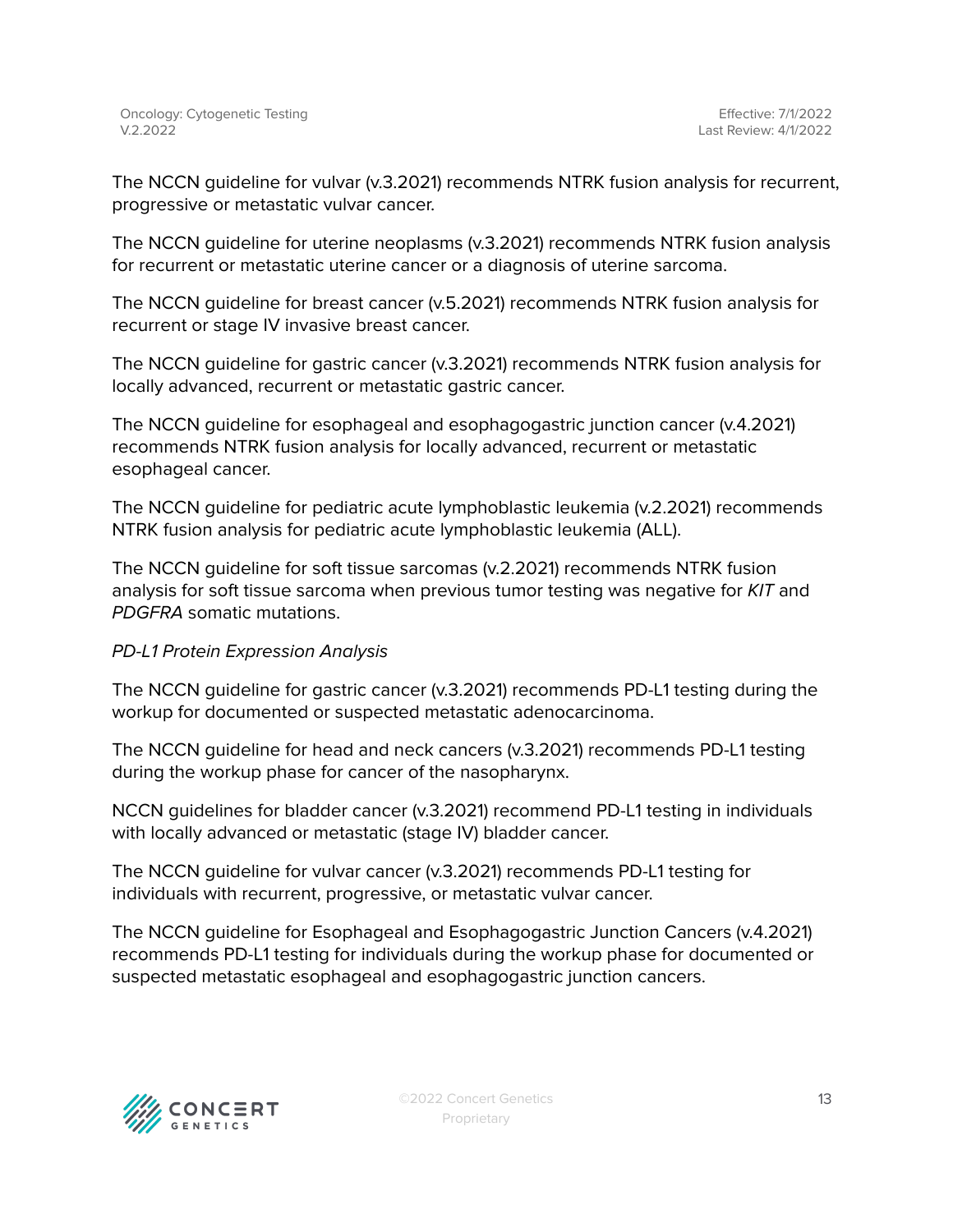The NCCN guideline for vulvar (v.3.2021) recommends NTRK fusion analysis for recurrent, progressive or metastatic vulvar cancer.

The NCCN guideline for uterine neoplasms (v.3.2021) recommends NTRK fusion analysis for recurrent or metastatic uterine cancer or a diagnosis of uterine sarcoma.

The NCCN guideline for breast cancer (v.5.2021) recommends NTRK fusion analysis for recurrent or stage IV invasive breast cancer.

The NCCN guideline for gastric cancer (v.3.2021) recommends NTRK fusion analysis for locally advanced, recurrent or metastatic gastric cancer.

The NCCN guideline for esophageal and esophagogastric junction cancer (v.4.2021) recommends NTRK fusion analysis for locally advanced, recurrent or metastatic esophageal cancer.

The NCCN guideline for pediatric acute lymphoblastic leukemia (v.2.2021) recommends NTRK fusion analysis for pediatric acute lymphoblastic leukemia (ALL).

The NCCN guideline for soft tissue sarcomas (v.2.2021) recommends NTRK fusion analysis for soft tissue sarcoma when previous tumor testing was negative for KIT and PDGFRA somatic mutations.

#### PD-L1 Protein Expression Analysis

The NCCN guideline for gastric cancer (v.3.2021) recommends PD-L1 testing during the workup for documented or suspected metastatic adenocarcinoma.

The NCCN guideline for head and neck cancers (v.3.2021) recommends PD-L1 testing during the workup phase for cancer of the nasopharynx.

NCCN guidelines for bladder cancer (v.3.2021) recommend PD-L1 testing in individuals with locally advanced or metastatic (stage IV) bladder cancer.

The NCCN guideline for vulvar cancer (v.3.2021) recommends PD-L1 testing for individuals with recurrent, progressive, or metastatic vulvar cancer.

The NCCN guideline for Esophageal and Esophagogastric Junction Cancers (v.4.2021) recommends PD-L1 testing for individuals during the workup phase for documented or suspected metastatic esophageal and esophagogastric junction cancers.

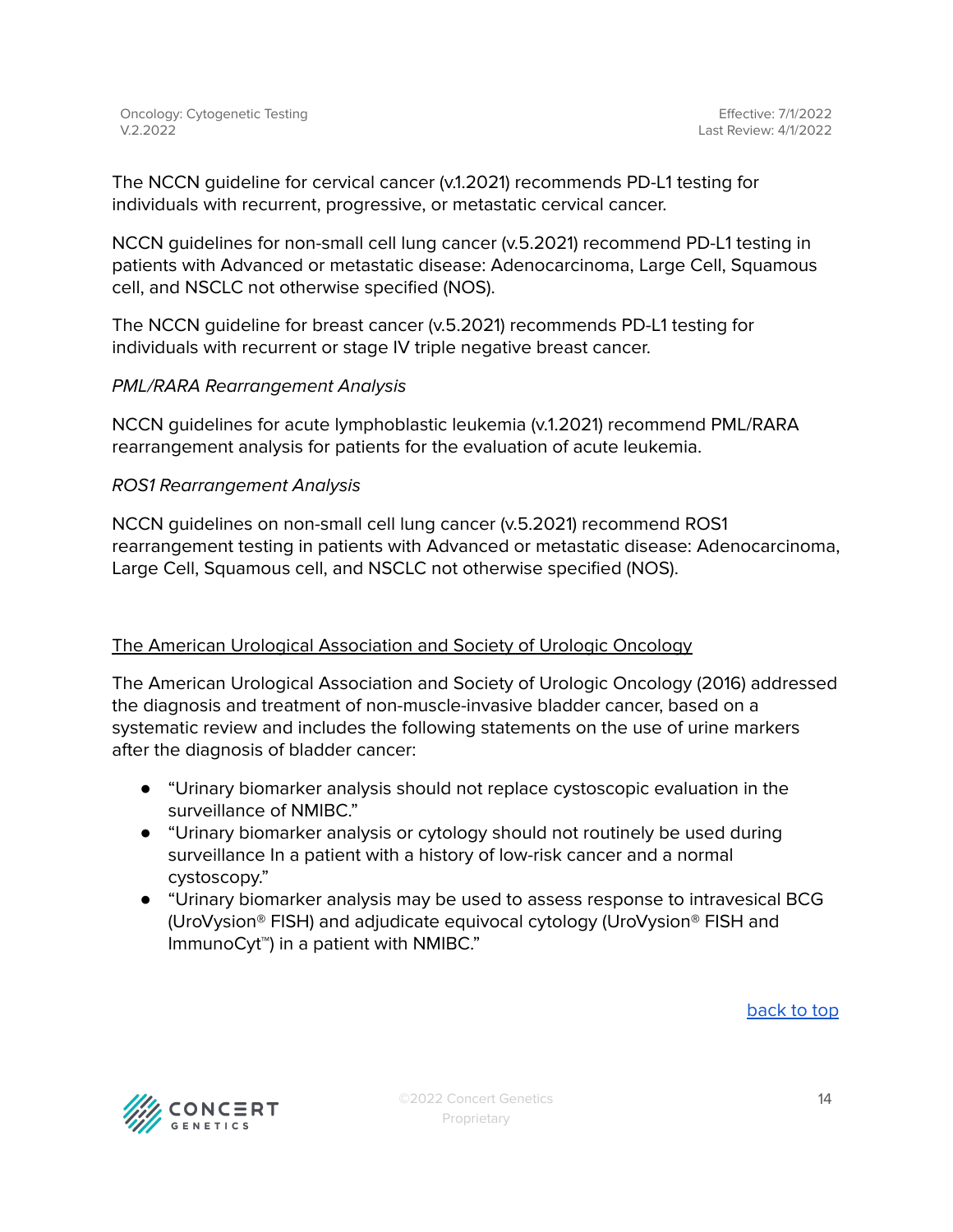The NCCN guideline for cervical cancer (v.1.2021) recommends PD-L1 testing for individuals with recurrent, progressive, or metastatic cervical cancer.

NCCN guidelines for non-small cell lung cancer (v.5.2021) recommend PD-L1 testing in patients with Advanced or metastatic disease: Adenocarcinoma, Large Cell, Squamous cell, and NSCLC not otherwise specified (NOS).

The NCCN guideline for breast cancer (v.5.2021) recommends PD-L1 testing for individuals with recurrent or stage IV triple negative breast cancer.

### PML/RARA Rearrangement Analysis

NCCN guidelines for acute lymphoblastic leukemia (v.1.2021) recommend PML/RARA rearrangement analysis for patients for the evaluation of acute leukemia.

### ROS1 Rearrangement Analysis

NCCN guidelines on non-small cell lung cancer (v.5.2021) recommend ROS1 rearrangement testing in patients with Advanced or metastatic disease: Adenocarcinoma, Large Cell, Squamous cell, and NSCLC not otherwise specified (NOS).

# The American Urological Association and Society of Urologic Oncology

The American Urological Association and Society of Urologic Oncology (2016) addressed the diagnosis and treatment of non-muscle-invasive bladder cancer, based on a systematic review and includes the following statements on the use of urine markers after the diagnosis of bladder cancer:

- "Urinary biomarker analysis should not replace cystoscopic evaluation in the surveillance of NMIBC."
- "Urinary biomarker analysis or cytology should not routinely be used during surveillance In a patient with a history of low-risk cancer and a normal cystoscopy."
- "Urinary biomarker analysis may be used to assess response to intravesical BCG (UroVysion® FISH) and adjudicate equivocal cytology (UroVysion® FISH and ImmunoCyt™) in a patient with NMIBC."

[back](#page-0-0) to top

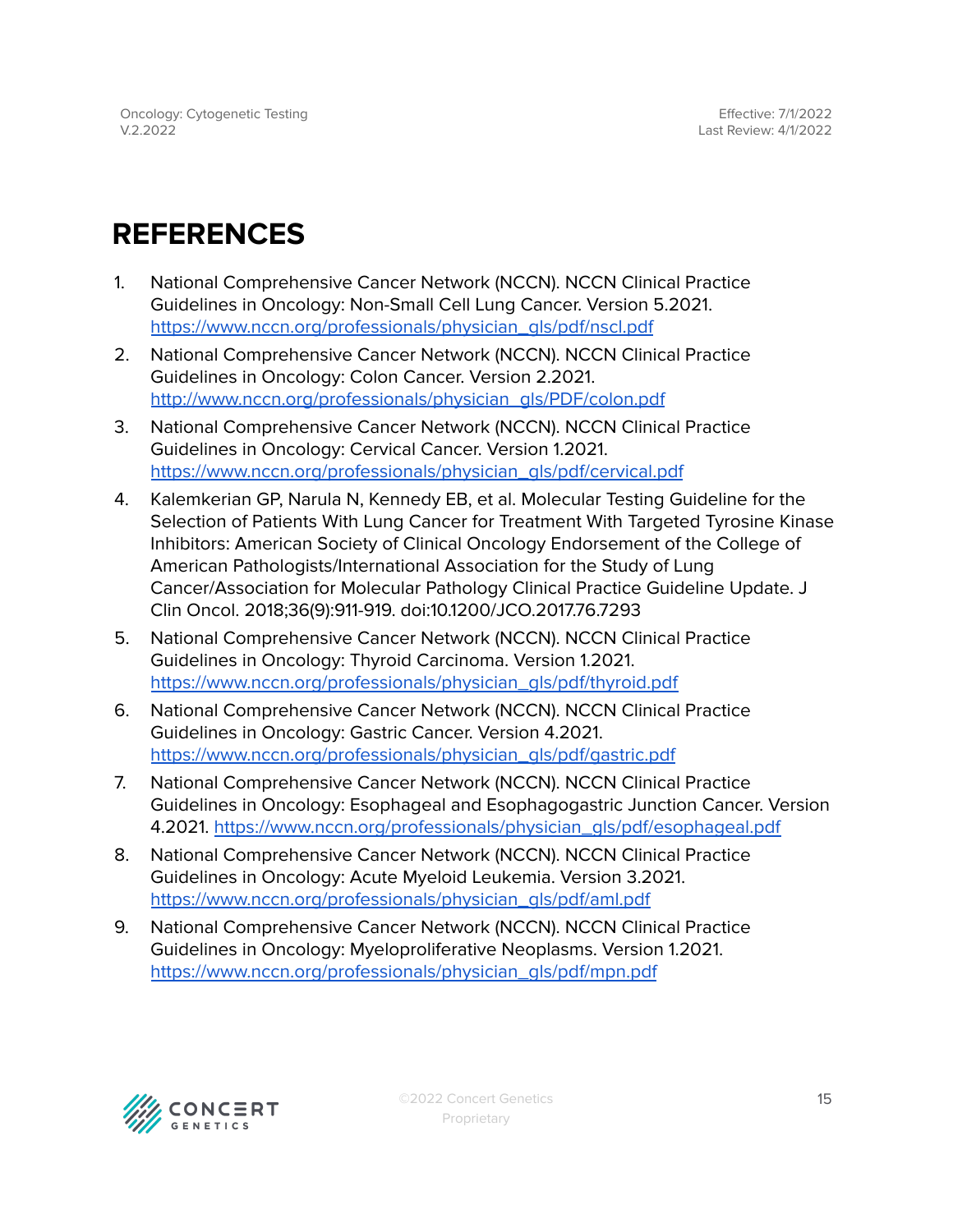# <span id="page-14-0"></span>**REFERENCES**

- 1. National Comprehensive Cancer Network (NCCN). NCCN Clinical Practice Guidelines in Oncology: Non-Small Cell Lung Cancer. Version 5.2021. [https://www.nccn.org/professionals/physician\\_gls/pdf/nscl.pdf](https://www.nccn.org/professionals/physician_gls/pdf/nscl.pdf)
- 2. National Comprehensive Cancer Network (NCCN). NCCN Clinical Practice Guidelines in Oncology: Colon Cancer. Version 2.2021. [http://www.nccn.org/professionals/physician\\_gls/PDF/colon.pdf](http://www.nccn.org/professionals/physician_gls/PDF/colon.pdf)
- 3. National Comprehensive Cancer Network (NCCN). NCCN Clinical Practice Guidelines in Oncology: Cervical Cancer. Version 1.2021. [https://www.nccn.org/professionals/physician\\_gls/pdf/cervical.pdf](https://www.nccn.org/professionals/physician_gls/pdf/cervical.pdf)
- 4. Kalemkerian GP, Narula N, Kennedy EB, et al. Molecular Testing Guideline for the Selection of Patients With Lung Cancer for Treatment With Targeted Tyrosine Kinase Inhibitors: American Society of Clinical Oncology Endorsement of the College of American Pathologists/International Association for the Study of Lung Cancer/Association for Molecular Pathology Clinical Practice Guideline Update. J Clin Oncol. 2018;36(9):911-919. doi:10.1200/JCO.2017.76.7293
- 5. National Comprehensive Cancer Network (NCCN). NCCN Clinical Practice Guidelines in Oncology: Thyroid Carcinoma. Version 1.2021. [https://www.nccn.org/professionals/physician\\_gls/pdf/thyroid.pdf](https://www.nccn.org/professionals/physician_gls/pdf/thyroid.pdf)
- 6. National Comprehensive Cancer Network (NCCN). NCCN Clinical Practice Guidelines in Oncology: Gastric Cancer. Version 4.2021. [https://www.nccn.org/professionals/physician\\_gls/pdf/gastric.pdf](https://www.nccn.org/professionals/physician_gls/pdf/gastric.pdf)
- 7. National Comprehensive Cancer Network (NCCN). NCCN Clinical Practice Guidelines in Oncology: Esophageal and Esophagogastric Junction Cancer. Version 4.2021. [https://www.nccn.org/professionals/physician\\_gls/pdf/esophageal.pdf](https://www.nccn.org/professionals/physician_gls/pdf/esophageal.pdf)
- 8. National Comprehensive Cancer Network (NCCN). NCCN Clinical Practice Guidelines in Oncology: Acute Myeloid Leukemia. Version 3.2021. [https://www.nccn.org/professionals/physician\\_gls/pdf/aml.pdf](https://www.nccn.org/professionals/physician_gls/pdf/aml.pdf)
- 9. National Comprehensive Cancer Network (NCCN). NCCN Clinical Practice Guidelines in Oncology: Myeloproliferative Neoplasms. Version 1.2021. [https://www.nccn.org/professionals/physician\\_gls/pdf/mpn.pdf](https://www.nccn.org/professionals/physician_gls/pdf/mpn.pdf)

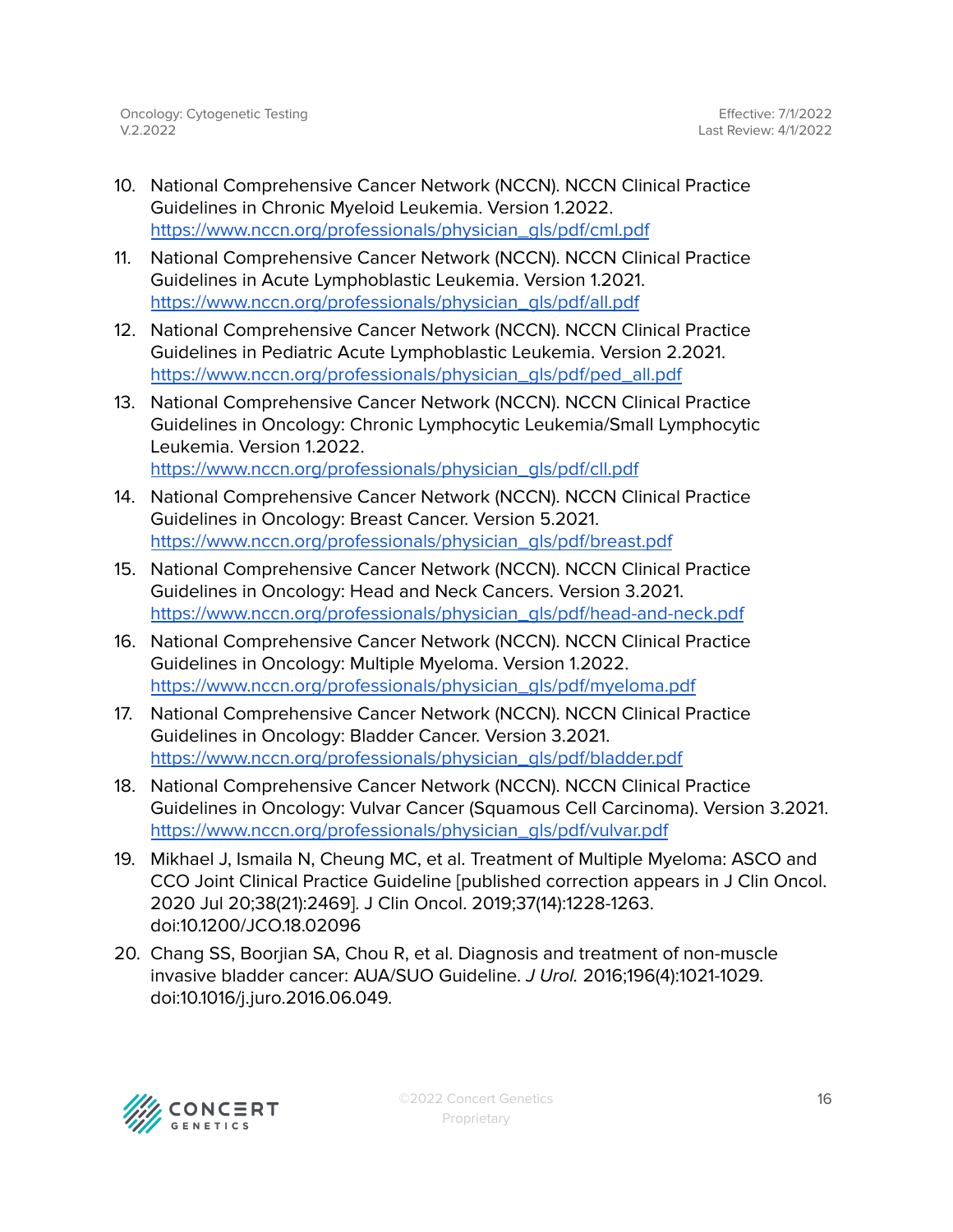- 10. National Comprehensive Cancer Network (NCCN). NCCN Clinical Practice Guidelines in Chronic Myeloid Leukemia. Version 1.2022. [https://www.nccn.org/professionals/physician\\_gls/pdf/cml.pdf](https://www.nccn.org/professionals/physician_gls/pdf/cml.pdf)
- 11. National Comprehensive Cancer Network (NCCN). NCCN Clinical Practice Guidelines in Acute Lymphoblastic Leukemia. Version 1.2021. [https://www.nccn.org/professionals/physician\\_gls/pdf/all.pdf](https://www.nccn.org/professionals/physician_gls/pdf/all.pdf)
- 12. National Comprehensive Cancer Network (NCCN). NCCN Clinical Practice Guidelines in Pediatric Acute Lymphoblastic Leukemia. Version 2.2021. [https://www.nccn.org/professionals/physician\\_gls/pdf/ped\\_all.pdf](https://www.nccn.org/professionals/physician_gls/pdf/ped_all.pdf)
- 13. National Comprehensive Cancer Network (NCCN). NCCN Clinical Practice Guidelines in Oncology: Chronic Lymphocytic Leukemia/Small Lymphocytic Leukemia. Version 1.2022. [https://www.nccn.org/professionals/physician\\_gls/pdf/cll.pdf](https://www.nccn.org/professionals/physician_gls/pdf/cll.pdf)
- 14. National Comprehensive Cancer Network (NCCN). NCCN Clinical Practice Guidelines in Oncology: Breast Cancer. Version 5.2021. [https://www.nccn.org/professionals/physician\\_gls/pdf/breast.pdf](https://www.nccn.org/professionals/physician_gls/pdf/breast.pdf)
- 15. National Comprehensive Cancer Network (NCCN). NCCN Clinical Practice Guidelines in Oncology: Head and Neck Cancers. Version 3.2021. [https://www.nccn.org/professionals/physician\\_gls/pdf/head-and-neck.pdf](https://www.nccn.org/professionals/physician_gls/pdf/head-and-neck.pdf)
- 16. National Comprehensive Cancer Network (NCCN). NCCN Clinical Practice Guidelines in Oncology: Multiple Myeloma. Version 1.2022. [https://www.nccn.org/professionals/physician\\_gls/pdf/myeloma.pdf](https://www.nccn.org/professionals/physician_gls/pdf/myeloma.pdf)
- 17. National Comprehensive Cancer Network (NCCN). NCCN Clinical Practice Guidelines in Oncology: Bladder Cancer. Version 3.2021. [https://www.nccn.org/professionals/physician\\_gls/pdf/bladder.pdf](https://www.nccn.org/professionals/physician_gls/pdf/bladder.pdf)
- 18. National Comprehensive Cancer Network (NCCN). NCCN Clinical Practice Guidelines in Oncology: Vulvar Cancer (Squamous Cell Carcinoma). Version 3.2021. [https://www.nccn.org/professionals/physician\\_gls/pdf/vulvar.pdf](https://www.nccn.org/professionals/physician_gls/pdf/vulvar.pdf)
- 19. Mikhael J, Ismaila N, Cheung MC, et al. Treatment of Multiple Myeloma: ASCO and CCO Joint Clinical Practice Guideline [published correction appears in J Clin Oncol. 2020 Jul 20;38(21):2469]. J Clin Oncol. 2019;37(14):1228-1263. doi:10.1200/JCO.18.02096
- 20. Chang SS, Boorjian SA, Chou R, et al. Diagnosis and treatment of non-muscle invasive bladder cancer: AUA/SUO Guideline. J Urol. 2016;196(4):1021-1029. doi:10.1016/j.juro.2016.06.049.